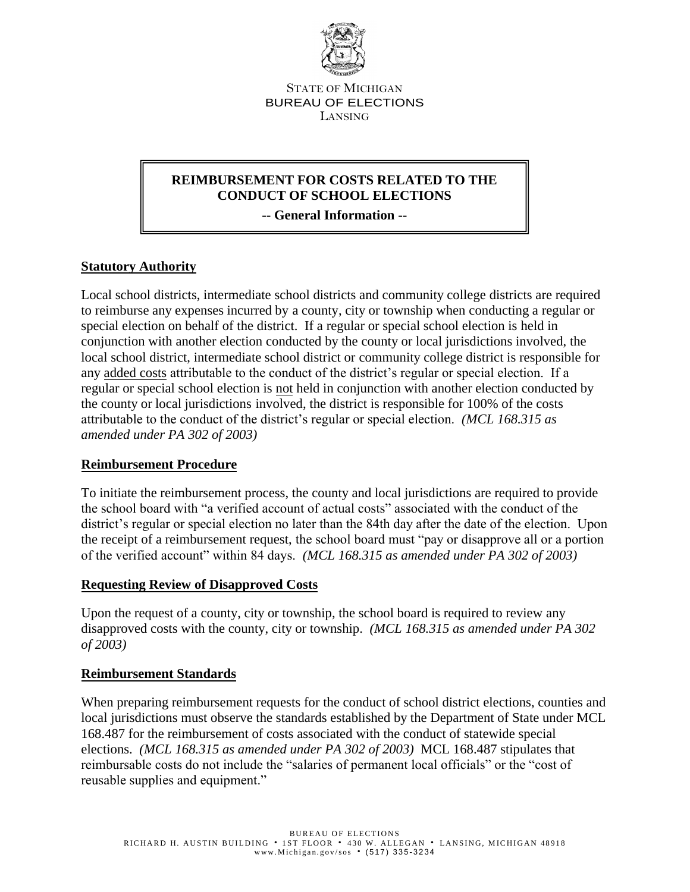

STATE OF MICHIGAN BUREAU OF ELECTIONS LANSING

# **REIMBURSEMENT FOR COSTS RELATED TO THE CONDUCT OF SCHOOL ELECTIONS**

**-- General Information --**

# **Statutory Authority**

Local school districts, intermediate school districts and community college districts are required to reimburse any expenses incurred by a county, city or township when conducting a regular or special election on behalf of the district. If a regular or special school election is held in conjunction with another election conducted by the county or local jurisdictions involved, the local school district, intermediate school district or community college district is responsible for any added costs attributable to the conduct of the district's regular or special election. If a regular or special school election is not held in conjunction with another election conducted by the county or local jurisdictions involved, the district is responsible for 100% of the costs attributable to the conduct of the district's regular or special election. *(MCL 168.315 as amended under PA 302 of 2003)*

# **Reimbursement Procedure**

To initiate the reimbursement process, the county and local jurisdictions are required to provide the school board with "a verified account of actual costs" associated with the conduct of the district's regular or special election no later than the 84th day after the date of the election. Upon the receipt of a reimbursement request, the school board must "pay or disapprove all or a portion of the verified account" within 84 days. *(MCL 168.315 as amended under PA 302 of 2003)*

#### **Requesting Review of Disapproved Costs**

Upon the request of a county, city or township, the school board is required to review any disapproved costs with the county, city or township. *(MCL 168.315 as amended under PA 302 of 2003)*

#### **Reimbursement Standards**

When preparing reimbursement requests for the conduct of school district elections, counties and local jurisdictions must observe the standards established by the Department of State under MCL 168.487 for the reimbursement of costs associated with the conduct of statewide special elections. *(MCL 168.315 as amended under PA 302 of 2003)* MCL 168.487 stipulates that reimbursable costs do not include the "salaries of permanent local officials" or the "cost of reusable supplies and equipment."